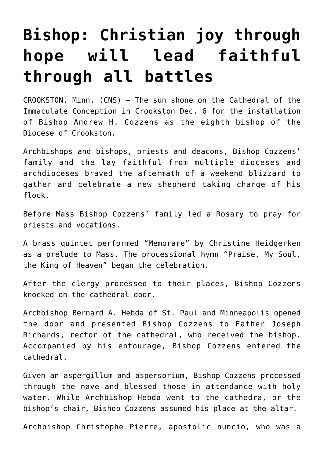## **[Bishop: Christian joy through](https://www.osvnews.com/2021/12/08/bishop-christian-joy-through-hope-will-lead-faithful-through-all-battles/) [hope will lead faithful](https://www.osvnews.com/2021/12/08/bishop-christian-joy-through-hope-will-lead-faithful-through-all-battles/) [through all battles](https://www.osvnews.com/2021/12/08/bishop-christian-joy-through-hope-will-lead-faithful-through-all-battles/)**

CROOKSTON, Minn. (CNS) — The sun shone on the Cathedral of the Immaculate Conception in Crookston Dec. 6 for the installation of Bishop Andrew H. Cozzens as the eighth bishop of the Diocese of Crookston.

Archbishops and bishops, priests and deacons, Bishop Cozzens' family and the lay faithful from multiple dioceses and archdioceses braved the aftermath of a weekend blizzard to gather and celebrate a new shepherd taking charge of his flock.

Before Mass Bishop Cozzens' family led a Rosary to pray for priests and vocations.

A brass quintet performed "Memorare" by Christine Heidgerken as a prelude to Mass. The processional hymn "Praise, My Soul, the King of Heaven" began the celebration.

After the clergy processed to their places, Bishop Cozzens knocked on the cathedral door.

Archbishop Bernard A. Hebda of St. Paul and Minneapolis opened the door and presented Bishop Cozzens to Father Joseph Richards, rector of the cathedral, who received the bishop. Accompanied by his entourage, Bishop Cozzens entered the cathedral.

Given an aspergillum and aspersorium, Bishop Cozzens processed through the nave and blessed those in attendance with holy water. While Archbishop Hebda went to the cathedra, or the bishop's chair, Bishop Cozzens assumed his place at the altar.

Archbishop Christophe Pierre, apostolic nuncio, who was a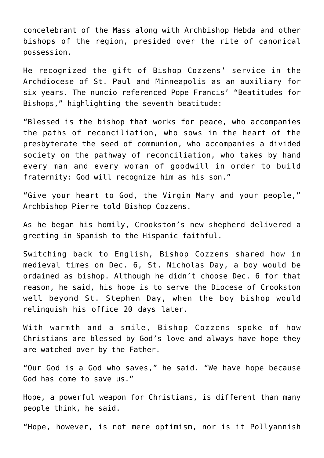concelebrant of the Mass along with Archbishop Hebda and other bishops of the region, presided over the rite of canonical possession.

He recognized the gift of Bishop Cozzens' service in the Archdiocese of St. Paul and Minneapolis as an auxiliary for six years. The nuncio referenced Pope Francis' "Beatitudes for Bishops," highlighting the seventh beatitude:

"Blessed is the bishop that works for peace, who accompanies the paths of reconciliation, who sows in the heart of the presbyterate the seed of communion, who accompanies a divided society on the pathway of reconciliation, who takes by hand every man and every woman of goodwill in order to build fraternity: God will recognize him as his son."

"Give your heart to God, the Virgin Mary and your people," Archbishop Pierre told Bishop Cozzens.

As he began his homily, Crookston's new shepherd delivered a greeting in Spanish to the Hispanic faithful.

Switching back to English, Bishop Cozzens shared how in medieval times on Dec. 6, St. Nicholas Day, a boy would be ordained as bishop. Although he didn't choose Dec. 6 for that reason, he said, his hope is to serve the Diocese of Crookston well beyond St. Stephen Day, when the boy bishop would relinquish his office 20 days later.

With warmth and a smile, Bishop Cozzens spoke of how Christians are blessed by God's love and always have hope they are watched over by the Father.

"Our God is a God who saves," he said. "We have hope because God has come to save us."

Hope, a powerful weapon for Christians, is different than many people think, he said.

"Hope, however, is not mere optimism, nor is it Pollyannish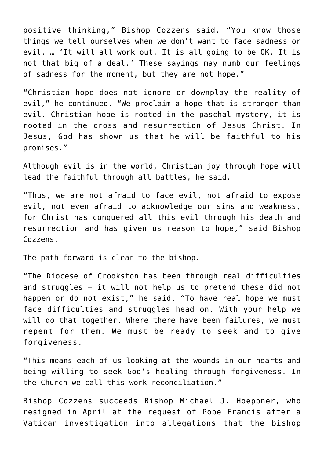positive thinking," Bishop Cozzens said. "You know those things we tell ourselves when we don't want to face sadness or evil. … 'It will all work out. It is all going to be OK. It is not that big of a deal.' These sayings may numb our feelings of sadness for the moment, but they are not hope."

"Christian hope does not ignore or downplay the reality of evil," he continued. "We proclaim a hope that is stronger than evil. Christian hope is rooted in the paschal mystery, it is rooted in the cross and resurrection of Jesus Christ. In Jesus, God has shown us that he will be faithful to his promises."

Although evil is in the world, Christian joy through hope will lead the faithful through all battles, he said.

"Thus, we are not afraid to face evil, not afraid to expose evil, not even afraid to acknowledge our sins and weakness, for Christ has conquered all this evil through his death and resurrection and has given us reason to hope," said Bishop Cozzens.

The path forward is clear to the bishop.

"The Diocese of Crookston has been through real difficulties and struggles — it will not help us to pretend these did not happen or do not exist," he said. "To have real hope we must face difficulties and struggles head on. With your help we will do that together. Where there have been failures, we must repent for them. We must be ready to seek and to give forgiveness.

"This means each of us looking at the wounds in our hearts and being willing to seek God's healing through forgiveness. In the Church we call this work reconciliation."

Bishop Cozzens succeeds Bishop Michael J. Hoeppner, who resigned in April at the request of Pope Francis after a Vatican investigation into allegations that the bishop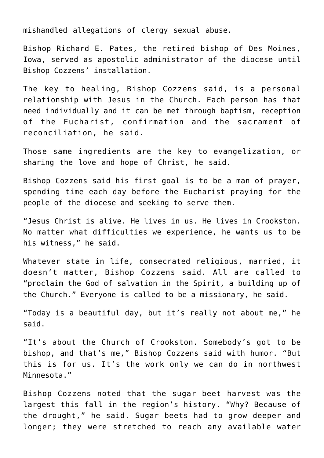mishandled allegations of clergy sexual abuse.

Bishop Richard E. Pates, the retired bishop of Des Moines, Iowa, served as apostolic administrator of the diocese until Bishop Cozzens' installation.

The key to healing, Bishop Cozzens said, is a personal relationship with Jesus in the Church. Each person has that need individually and it can be met through baptism, reception of the Eucharist, confirmation and the sacrament of reconciliation, he said.

Those same ingredients are the key to evangelization, or sharing the love and hope of Christ, he said.

Bishop Cozzens said his first goal is to be a man of prayer, spending time each day before the Eucharist praying for the people of the diocese and seeking to serve them.

"Jesus Christ is alive. He lives in us. He lives in Crookston. No matter what difficulties we experience, he wants us to be his witness," he said.

Whatever state in life, consecrated religious, married, it doesn't matter, Bishop Cozzens said. All are called to "proclaim the God of salvation in the Spirit, a building up of the Church." Everyone is called to be a missionary, he said.

"Today is a beautiful day, but it's really not about me," he said.

"It's about the Church of Crookston. Somebody's got to be bishop, and that's me," Bishop Cozzens said with humor. "But this is for us. It's the work only we can do in northwest Minnesota."

Bishop Cozzens noted that the sugar beet harvest was the largest this fall in the region's history. "Why? Because of the drought," he said. Sugar beets had to grow deeper and longer; they were stretched to reach any available water